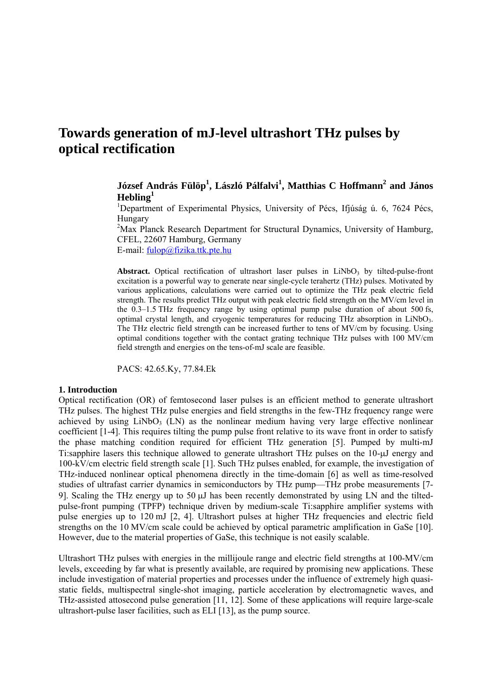# **Towards generation of mJ-level ultrashort THz pulses by optical rectification**

# **József András Fülöp1 , László Pálfalvi<sup>1</sup> , Matthias C Hoffmann2 and János Hebling1**

<sup>1</sup>Department of Experimental Physics, University of Pécs, Ifjúság ú. 6, 7624 Pécs, Hungary

<sup>2</sup>Max Planck Research Department for Structural Dynamics, University of Hamburg, CFEL, 22607 Hamburg, Germany E-mail: fulop@fizika.ttk.pte.hu

Abstract. Optical rectification of ultrashort laser pulses in LiNbO<sub>3</sub> by tilted-pulse-front excitation is a powerful way to generate near single-cycle terahertz (THz) pulses. Motivated by various applications, calculations were carried out to optimize the THz peak electric field strength. The results predict THz output with peak electric field strength on the MV/cm level in the 0.3–1.5 THz frequency range by using optimal pump pulse duration of about 500 fs, optimal crystal length, and cryogenic temperatures for reducing THz absorption in  $LiNbO<sub>3</sub>$ . The THz electric field strength can be increased further to tens of MV/cm by focusing. Using optimal conditions together with the contact grating technique THz pulses with 100 MV/cm field strength and energies on the tens-of-mJ scale are feasible.

PACS: 42.65.Ky, 77.84.Ek

#### **1. Introduction**

Optical rectification (OR) of femtosecond laser pulses is an efficient method to generate ultrashort THz pulses. The highest THz pulse energies and field strengths in the few-THz frequency range were achieved by using LiNbO<sub>3</sub> (LN) as the nonlinear medium having very large effective nonlinear coefficient [1-4]. This requires tilting the pump pulse front relative to its wave front in order to satisfy the phase matching condition required for efficient THz generation [5]. Pumped by multi-mJ Ti:sapphire lasers this technique allowed to generate ultrashort THz pulses on the 10-μJ energy and 100-kV/cm electric field strength scale [1]. Such THz pulses enabled, for example, the investigation of THz-induced nonlinear optical phenomena directly in the time-domain [6] as well as time-resolved studies of ultrafast carrier dynamics in semiconductors by THz pump—THz probe measurements [7- 9]. Scaling the THz energy up to 50 μJ has been recently demonstrated by using LN and the tiltedpulse-front pumping (TPFP) technique driven by medium-scale Ti:sapphire amplifier systems with pulse energies up to 120 mJ [2, 4]. Ultrashort pulses at higher THz frequencies and electric field strengths on the 10 MV/cm scale could be achieved by optical parametric amplification in GaSe [10]. However, due to the material properties of GaSe, this technique is not easily scalable.

Ultrashort THz pulses with energies in the millijoule range and electric field strengths at 100-MV/cm levels, exceeding by far what is presently available, are required by promising new applications. These include investigation of material properties and processes under the influence of extremely high quasistatic fields, multispectral single-shot imaging, particle acceleration by electromagnetic waves, and THz-assisted attosecond pulse generation [11, 12]. Some of these applications will require large-scale ultrashort-pulse laser facilities, such as ELI [13], as the pump source.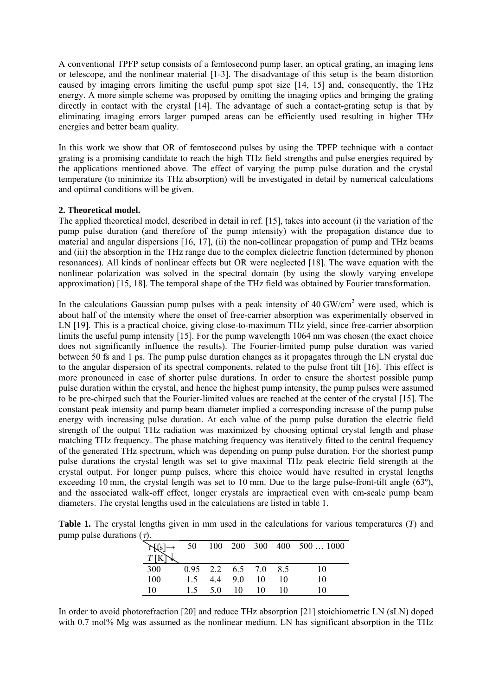A conventional TPFP setup consists of a femtosecond pump laser, an optical grating, an imaging lens or telescope, and the nonlinear material [1-3]. The disadvantage of this setup is the beam distortion caused by imaging errors limiting the useful pump spot size [14, 15] and, consequently, the THz energy. A more simple scheme was proposed by omitting the imaging optics and bringing the grating directly in contact with the crystal [14]. The advantage of such a contact-grating setup is that by eliminating imaging errors larger pumped areas can be efficiently used resulting in higher THz energies and better beam quality.

In this work we show that OR of femtosecond pulses by using the TPFP technique with a contact grating is a promising candidate to reach the high THz field strengths and pulse energies required by the applications mentioned above. The effect of varying the pump pulse duration and the crystal temperature (to minimize its THz absorption) will be investigated in detail by numerical calculations and optimal conditions will be given.

# **2. Theoretical model.**

The applied theoretical model, described in detail in ref. [15], takes into account (i) the variation of the pump pulse duration (and therefore of the pump intensity) with the propagation distance due to material and angular dispersions [16, 17], (ii) the non-collinear propagation of pump and THz beams and (iii) the absorption in the THz range due to the complex dielectric function (determined by phonon resonances). All kinds of nonlinear effects but OR were neglected [18]. The wave equation with the nonlinear polarization was solved in the spectral domain (by using the slowly varying envelope approximation) [15, 18]. The temporal shape of the THz field was obtained by Fourier transformation.

In the calculations Gaussian pump pulses with a peak intensity of  $40 \text{ GW/cm}^2$  were used, which is about half of the intensity where the onset of free-carrier absorption was experimentally observed in LN [19]. This is a practical choice, giving close-to-maximum THz yield, since free-carrier absorption limits the useful pump intensity [15]. For the pump wavelength 1064 nm was chosen (the exact choice does not significantly influence the results). The Fourier-limited pump pulse duration was varied between 50 fs and 1 ps. The pump pulse duration changes as it propagates through the LN crystal due to the angular dispersion of its spectral components, related to the pulse front tilt [16]. This effect is more pronounced in case of shorter pulse durations. In order to ensure the shortest possible pump pulse duration within the crystal, and hence the highest pump intensity, the pump pulses were assumed to be pre-chirped such that the Fourier-limited values are reached at the center of the crystal [15]. The constant peak intensity and pump beam diameter implied a corresponding increase of the pump pulse energy with increasing pulse duration. At each value of the pump pulse duration the electric field strength of the output THz radiation was maximized by choosing optimal crystal length and phase matching THz frequency. The phase matching frequency was iteratively fitted to the central frequency of the generated THz spectrum, which was depending on pump pulse duration. For the shortest pump pulse durations the crystal length was set to give maximal THz peak electric field strength at the crystal output. For longer pump pulses, where this choice would have resulted in crystal lengths exceeding 10 mm, the crystal length was set to 10 mm. Due to the large pulse-front-tilt angle (63<sup>o</sup>), and the associated walk-off effect, longer crystals are impractical even with cm-scale pump beam diameters. The crystal lengths used in the calculations are listed in table 1.

|  |                                 |  |  |  |  | <b>Table 1.</b> The crystal lengths given in mm used in the calculations for various temperatures (T) and |  |
|--|---------------------------------|--|--|--|--|-----------------------------------------------------------------------------------------------------------|--|
|  | pump pulse durations $(\tau)$ . |  |  |  |  |                                                                                                           |  |

|     |     |     |                      |    |    | 50 100 200 300 400 5001000 |
|-----|-----|-----|----------------------|----|----|----------------------------|
|     |     |     |                      |    |    |                            |
| 300 |     |     | 0.95 2.2 6.5 7.0 8.5 |    |    | 10                         |
| 100 | 1.5 |     | 4.4 9.0 10           |    | 10 | 10                         |
| 10  | 15  | 5.0 | 10                   | 10 | 10 | 10                         |

In order to avoid photorefraction [20] and reduce THz absorption [21] stoichiometric LN (sLN) doped with 0.7 mol% Mg was assumed as the nonlinear medium. LN has significant absorption in the THz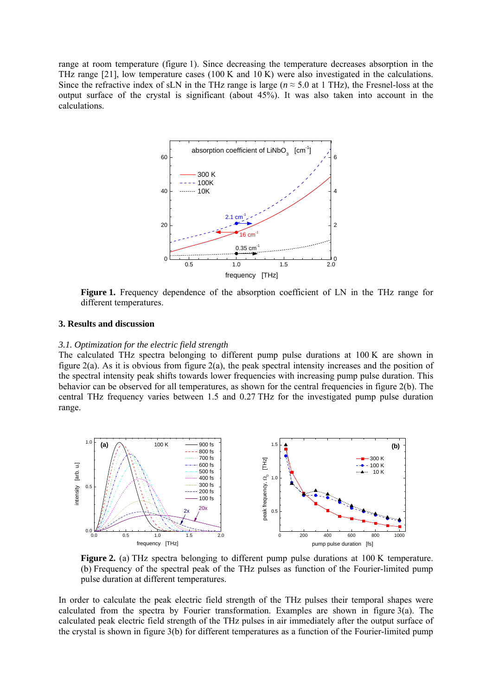range at room temperature (figure 1). Since decreasing the temperature decreases absorption in the THz range [21], low temperature cases (100 K and 10 K) were also investigated in the calculations. Since the refractive index of sLN in the THz range is large ( $n \approx 5.0$  at 1 THz), the Fresnel-loss at the output surface of the crystal is significant (about 45%). It was also taken into account in the calculations.



**Figure 1.** Frequency dependence of the absorption coefficient of LN in the THz range for different temperatures.

# **3. Results and discussion**

#### *3.1. Optimization for the electric field strength*

The calculated THz spectra belonging to different pump pulse durations at 100 K are shown in figure 2(a). As it is obvious from figure 2(a), the peak spectral intensity increases and the position of the spectral intensity peak shifts towards lower frequencies with increasing pump pulse duration. This behavior can be observed for all temperatures, as shown for the central frequencies in figure 2(b). The central THz frequency varies between 1.5 and 0.27 THz for the investigated pump pulse duration range.



**Figure 2.** (a) THz spectra belonging to different pump pulse durations at 100 K temperature. (b) Frequency of the spectral peak of the THz pulses as function of the Fourier-limited pump pulse duration at different temperatures.

In order to calculate the peak electric field strength of the THz pulses their temporal shapes were calculated from the spectra by Fourier transformation. Examples are shown in figure 3(a). The calculated peak electric field strength of the THz pulses in air immediately after the output surface of the crystal is shown in figure 3(b) for different temperatures as a function of the Fourier-limited pump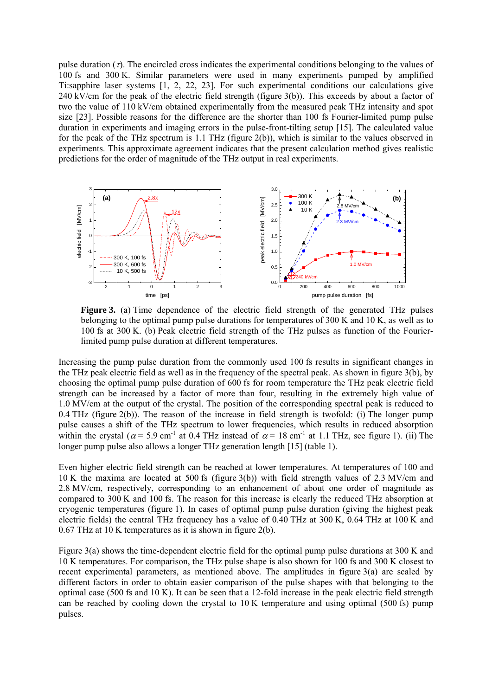pulse duration  $(\tau)$ . The encircled cross indicates the experimental conditions belonging to the values of 100 fs and 300 K. Similar parameters were used in many experiments pumped by amplified Ti:sapphire laser systems [1, 2, 22, 23]. For such experimental conditions our calculations give  $240 \text{ kV/cm}$  for the peak of the electric field strength (figure 3(b)). This exceeds by about a factor of two the value of 110 kV/cm obtained experimentally from the measured peak THz intensity and spot size [23]. Possible reasons for the difference are the shorter than 100 fs Fourier-limited pump pulse duration in experiments and imaging errors in the pulse-front-tilting setup [15]. The calculated value for the peak of the THz spectrum is 1.1 THz (figure 2(b)), which is similar to the values observed in experiments. This approximate agreement indicates that the present calculation method gives realistic predictions for the order of magnitude of the THz output in real experiments.



**Figure 3.** (a) Time dependence of the electric field strength of the generated THz pulses belonging to the optimal pump pulse durations for temperatures of 300 K and 10 K, as well as to 100 fs at 300 K. (b) Peak electric field strength of the THz pulses as function of the Fourierlimited pump pulse duration at different temperatures.

Increasing the pump pulse duration from the commonly used 100 fs results in significant changes in the THz peak electric field as well as in the frequency of the spectral peak. As shown in figure 3(b), by choosing the optimal pump pulse duration of 600 fs for room temperature the THz peak electric field strength can be increased by a factor of more than four, resulting in the extremely high value of 1.0 MV/cm at the output of the crystal. The position of the corresponding spectral peak is reduced to 0.4 THz (figure 2(b)). The reason of the increase in field strength is twofold: (i) The longer pump pulse causes a shift of the THz spectrum to lower frequencies, which results in reduced absorption within the crystal ( $\alpha$  = 5.9 cm<sup>-1</sup> at 0.4 THz instead of  $\alpha$  = 18 cm<sup>-1</sup> at 1.1 THz, see figure 1). (ii) The longer pump pulse also allows a longer THz generation length [15] (table 1).

Even higher electric field strength can be reached at lower temperatures. At temperatures of 100 and 10 K the maxima are located at 500 fs (figure 3(b)) with field strength values of 2.3 MV/cm and 2.8 MV/cm, respectively, corresponding to an enhancement of about one order of magnitude as compared to 300 K and 100 fs. The reason for this increase is clearly the reduced THz absorption at cryogenic temperatures (figure 1). In cases of optimal pump pulse duration (giving the highest peak electric fields) the central THz frequency has a value of 0.40 THz at 300 K, 0.64 THz at 100 K and 0.67 THz at 10 K temperatures as it is shown in figure 2(b).

Figure 3(a) shows the time-dependent electric field for the optimal pump pulse durations at 300 K and 10 K temperatures. For comparison, the THz pulse shape is also shown for 100 fs and 300 K closest to recent experimental parameters, as mentioned above. The amplitudes in figure 3(a) are scaled by different factors in order to obtain easier comparison of the pulse shapes with that belonging to the optimal case (500 fs and 10 K). It can be seen that a 12-fold increase in the peak electric field strength can be reached by cooling down the crystal to  $10 \text{ K}$  temperature and using optimal (500 fs) pump pulses.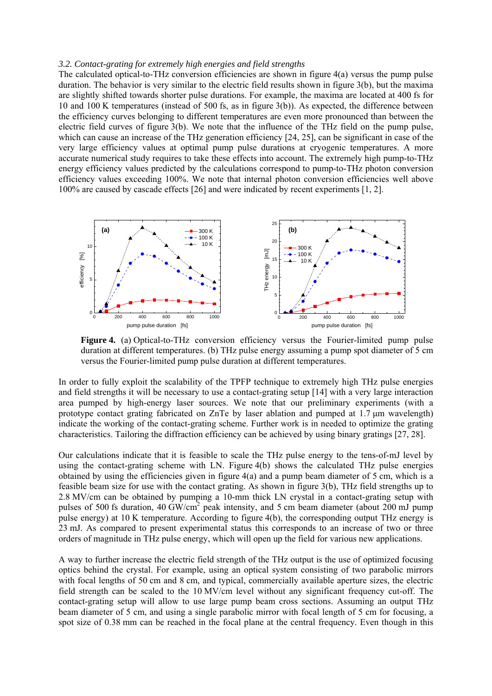#### *3.2. Contact-grating for extremely high energies and field strengths*

The calculated optical-to-THz conversion efficiencies are shown in figure 4(a) versus the pump pulse duration. The behavior is very similar to the electric field results shown in figure 3(b), but the maxima are slightly shifted towards shorter pulse durations. For example, the maxima are located at 400 fs for 10 and 100 K temperatures (instead of 500 fs, as in figure 3(b)). As expected, the difference between the efficiency curves belonging to different temperatures are even more pronounced than between the electric field curves of figure 3(b). We note that the influence of the THz field on the pump pulse, which can cause an increase of the THz generation efficiency [24, 25], can be significant in case of the very large efficiency values at optimal pump pulse durations at cryogenic temperatures. A more accurate numerical study requires to take these effects into account. The extremely high pump-to-THz energy efficiency values predicted by the calculations correspond to pump-to-THz photon conversion efficiency values exceeding 100%. We note that internal photon conversion efficiencies well above 100% are caused by cascade effects [26] and were indicated by recent experiments [1, 2].



**Figure 4.** (a) Optical-to-THz conversion efficiency versus the Fourier-limited pump pulse duration at different temperatures. (b) THz pulse energy assuming a pump spot diameter of 5 cm versus the Fourier-limited pump pulse duration at different temperatures.

In order to fully exploit the scalability of the TPFP technique to extremely high THz pulse energies and field strengths it will be necessary to use a contact-grating setup [14] with a very large interaction area pumped by high-energy laser sources. We note that our preliminary experiments (with a prototype contact grating fabricated on ZnTe by laser ablation and pumped at 1.7 μm wavelength) indicate the working of the contact-grating scheme. Further work is in needed to optimize the grating characteristics. Tailoring the diffraction efficiency can be achieved by using binary gratings [27, 28].

Our calculations indicate that it is feasible to scale the THz pulse energy to the tens-of-mJ level by using the contact-grating scheme with LN. Figure 4(b) shows the calculated THz pulse energies obtained by using the efficiencies given in figure  $4(a)$  and a pump beam diameter of 5 cm, which is a feasible beam size for use with the contact grating. As shown in figure 3(b), THz field strengths up to 2.8 MV/cm can be obtained by pumping a 10-mm thick LN crystal in a contact-grating setup with pulses of 500 fs duration, 40 GW/cm<sup>2</sup> peak intensity, and 5 cm beam diameter (about 200 mJ pump pulse energy) at 10 K temperature. According to figure 4(b), the corresponding output THz energy is 23 mJ. As compared to present experimental status this corresponds to an increase of two or three orders of magnitude in THz pulse energy, which will open up the field for various new applications.

A way to further increase the electric field strength of the THz output is the use of optimized focusing optics behind the crystal. For example, using an optical system consisting of two parabolic mirrors with focal lengths of 50 cm and 8 cm, and typical, commercially available aperture sizes, the electric field strength can be scaled to the 10 MV/cm level without any significant frequency cut-off. The contact-grating setup will allow to use large pump beam cross sections. Assuming an output THz beam diameter of 5 cm, and using a single parabolic mirror with focal length of 5 cm for focusing, a spot size of 0.38 mm can be reached in the focal plane at the central frequency. Even though in this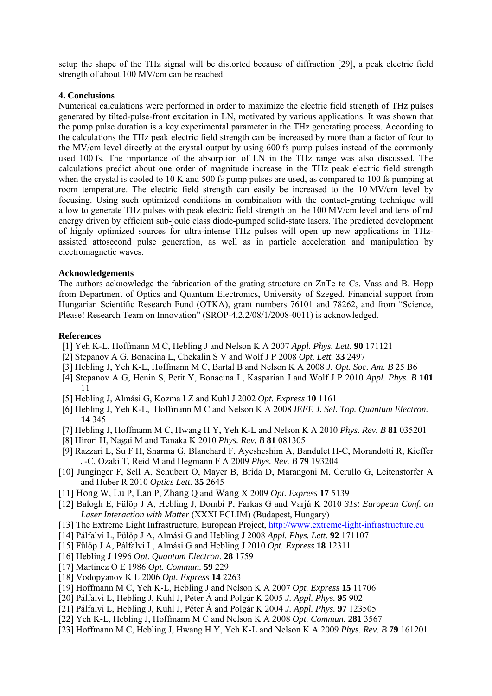setup the shape of the THz signal will be distorted because of diffraction [29], a peak electric field strength of about 100 MV/cm can be reached.

## **4. Conclusions**

Numerical calculations were performed in order to maximize the electric field strength of THz pulses generated by tilted-pulse-front excitation in LN, motivated by various applications. It was shown that the pump pulse duration is a key experimental parameter in the THz generating process. According to the calculations the THz peak electric field strength can be increased by more than a factor of four to the MV/cm level directly at the crystal output by using 600 fs pump pulses instead of the commonly used 100 fs. The importance of the absorption of LN in the THz range was also discussed. The calculations predict about one order of magnitude increase in the THz peak electric field strength when the crystal is cooled to 10 K and 500 fs pump pulses are used, as compared to 100 fs pumping at room temperature. The electric field strength can easily be increased to the 10 MV/cm level by focusing. Using such optimized conditions in combination with the contact-grating technique will allow to generate THz pulses with peak electric field strength on the 100 MV/cm level and tens of mJ energy driven by efficient sub-joule class diode-pumped solid-state lasers. The predicted development of highly optimized sources for ultra-intense THz pulses will open up new applications in THzassisted attosecond pulse generation, as well as in particle acceleration and manipulation by electromagnetic waves.

### **Acknowledgements**

The authors acknowledge the fabrication of the grating structure on ZnTe to Cs. Vass and B. Hopp from Department of Optics and Quantum Electronics, University of Szeged. Financial support from Hungarian Scientific Research Fund (OTKA), grant numbers 76101 and 78262, and from "Science, Please! Research Team on Innovation" (SROP-4.2.2/08/1/2008-0011) is acknowledged.

#### **References**

- [1] Yeh K-L, Hoffmann M C, Hebling J and Nelson K A 2007 *Appl. Phys. Lett.* **90** 171121
- [2] Stepanov A G, Bonacina L, Chekalin S V and Wolf J P 2008 *Opt. Lett.* **33** 2497
- [3] Hebling J, Yeh K-L, Hoffmann M C, Bartal B and Nelson K A 2008 *J. Opt. Soc. Am. B* 25 B6
- [4] Stepanov A G, Henin S, Petit Y, Bonacina L, Kasparian J and Wolf J P 2010 *Appl. Phys. B* **101** 11
- [5] Hebling J, Almási G, Kozma I Z and Kuhl J 2002 *Opt. Express* **10** 1161
- [6] Hebling J, Yeh K-L, Hoffmann M C and Nelson K A 2008 *IEEE J. Sel. Top. Quantum Electron.*  **14** 345
- [7] Hebling J, Hoffmann M C, Hwang H Y, Yeh K-L and Nelson K A 2010 *Phys. Rev. B* **81** 035201
- [8] Hirori H, Nagai M and Tanaka K 2010 *Phys. Rev. B* **81** 081305
- [9] Razzari L, Su F H, Sharma G, Blanchard F, Ayesheshim A, Bandulet H-C, Morandotti R, Kieffer J-C, Ozaki T, Reid M and Hegmann F A 2009 *Phys. Rev. B* **79** 193204
- [10] Junginger F, Sell A, Schubert O, Mayer B, Brida D, Marangoni M, Cerullo G, Leitenstorfer A and Huber R 2010 *Optics Lett.* **35** 2645
- [11] Hong W, Lu P, Lan P, Zhang Q and Wang X 2009 *Opt. Express* **17** 5139
- [12] Balogh E, Fülöp J A, Hebling J, Dombi P, Farkas G and Varjú K 2010 *31st European Conf. on Laser Interaction with Matter* (XXXI ECLIM) (Budapest, Hungary)
- [13] The Extreme Light Infrastructure, European Project, http://www.extreme-light-infrastructure.eu
- [14] Pálfalvi L, Fülöp J A, Almási G and Hebling J 2008 *Appl. Phys. Lett.* **92** 171107
- [15] Fülöp J A, Pálfalvi L, Almási G and Hebling J 2010 *Opt. Express* **18** 12311
- [16] Hebling J 1996 *Opt. Quantum Electron.* **28** 1759
- [17] Martinez O E 1986 *Opt. Commun.* **59** 229
- [18] Vodopyanov K L 2006 *Opt. Express* **14** 2263
- [19] Hoffmann M C, Yeh K-L, Hebling J and Nelson K A 2007 *Opt. Express* **15** 11706
- [20] Pálfalvi L, Hebling J, Kuhl J, Péter Á and Polgár K 2005 *J. Appl. Phys.* **95** 902
- [21] Pálfalvi L, Hebling J, Kuhl J, Péter Á and Polgár K 2004 *J. Appl. Phys.* **97** 123505
- [22] Yeh K-L, Hebling J, Hoffmann M C and Nelson K A 2008 *Opt. Commun.* **281** 3567
- [23] Hoffmann M C, Hebling J, Hwang H Y, Yeh K-L and Nelson K A 2009 *Phys. Rev. B* **79** 161201